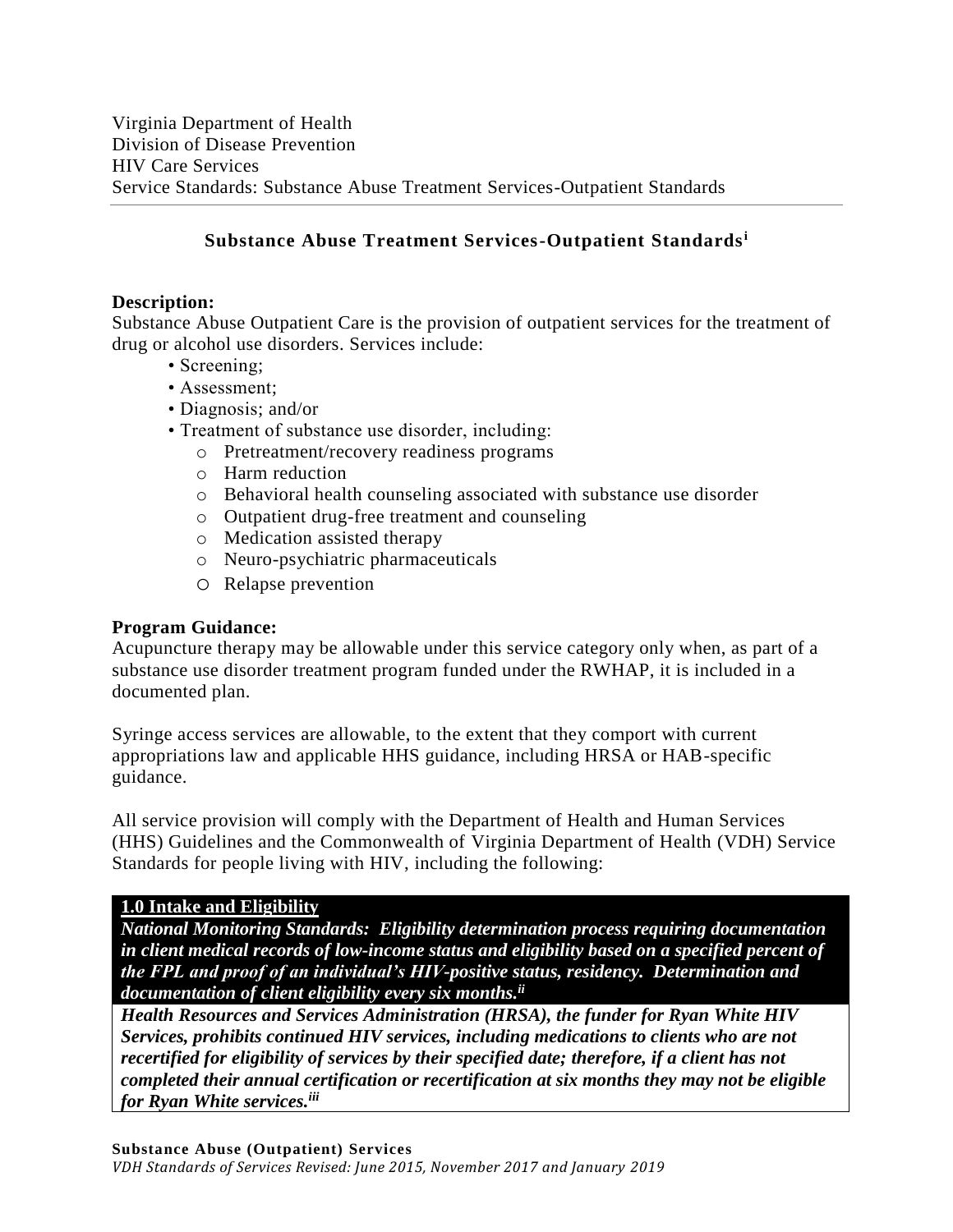## **Substance Abuse Treatment Services-Outpatient Standards<sup>i</sup>**

### **Description:**

Substance Abuse Outpatient Care is the provision of outpatient services for the treatment of drug or alcohol use disorders. Services include:

- Screening:
- Assessment;
- Diagnosis; and/or
- Treatment of substance use disorder, including:
	- o Pretreatment/recovery readiness programs
	- o Harm reduction
	- o Behavioral health counseling associated with substance use disorder
	- o Outpatient drug-free treatment and counseling
	- o Medication assisted therapy
	- o Neuro-psychiatric pharmaceuticals
	- o Relapse prevention

### **Program Guidance:**

Acupuncture therapy may be allowable under this service category only when, as part of a substance use disorder treatment program funded under the RWHAP, it is included in a documented plan.

Syringe access services are allowable, to the extent that they comport with current appropriations law and applicable HHS guidance, including HRSA or HAB-specific guidance.

All service provision will comply with the Department of Health and Human Services (HHS) Guidelines and the Commonwealth of Virginia Department of Health (VDH) Service Standards for people living with HIV, including the following:

### **1.0 Intake and Eligibility**

*National Monitoring Standards: Eligibility determination process requiring documentation in client medical records of low-income status and eligibility based on a specified percent of the FPL and proof of an individual's HIV-positive status, residency. Determination and documentation of client eligibility every six months. ii*

*Health Resources and Services Administration (HRSA), the funder for Ryan White HIV Services, prohibits continued HIV services, including medications to clients who are not recertified for eligibility of services by their specified date; therefore, if a client has not completed their annual certification or recertification at six months they may not be eligible for Ryan White services.iii*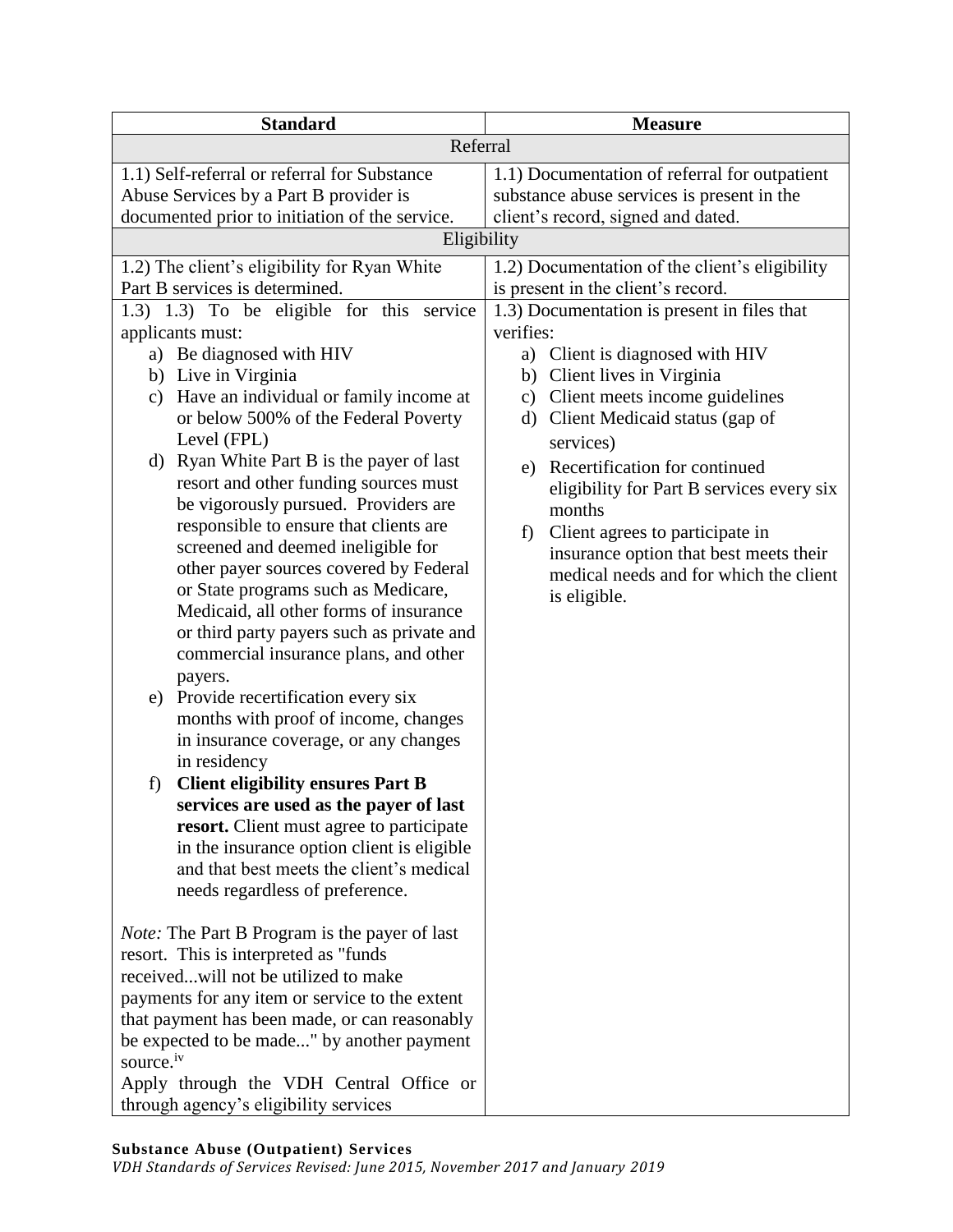| <b>Standard</b>                                                              | <b>Measure</b>                                 |  |
|------------------------------------------------------------------------------|------------------------------------------------|--|
| Referral                                                                     |                                                |  |
| 1.1) Self-referral or referral for Substance                                 | 1.1) Documentation of referral for outpatient  |  |
| Abuse Services by a Part B provider is                                       | substance abuse services is present in the     |  |
| documented prior to initiation of the service.                               | client's record, signed and dated.             |  |
| Eligibility                                                                  |                                                |  |
| 1.2) The client's eligibility for Ryan White                                 | 1.2) Documentation of the client's eligibility |  |
| Part B services is determined.                                               | is present in the client's record.             |  |
| 1.3) 1.3) To be eligible for this service                                    | 1.3) Documentation is present in files that    |  |
| applicants must:                                                             | verifies:                                      |  |
| a) Be diagnosed with HIV                                                     | Client is diagnosed with HIV<br>a)             |  |
| b) Live in Virginia                                                          | b) Client lives in Virginia                    |  |
| Have an individual or family income at<br>$\mathbf{c})$                      | c) Client meets income guidelines              |  |
| or below 500% of the Federal Poverty                                         | Client Medicaid status (gap of<br>d)           |  |
| Level (FPL)                                                                  | services)                                      |  |
| d) Ryan White Part B is the payer of last                                    | Recertification for continued<br>e)            |  |
| resort and other funding sources must                                        | eligibility for Part B services every six      |  |
| be vigorously pursued. Providers are                                         | months                                         |  |
| responsible to ensure that clients are<br>screened and deemed ineligible for | Client agrees to participate in<br>f)          |  |
| other payer sources covered by Federal                                       | insurance option that best meets their         |  |
| or State programs such as Medicare,                                          | medical needs and for which the client         |  |
| Medicaid, all other forms of insurance                                       | is eligible.                                   |  |
| or third party payers such as private and                                    |                                                |  |
| commercial insurance plans, and other                                        |                                                |  |
| payers.                                                                      |                                                |  |
| Provide recertification every six<br>e)                                      |                                                |  |
| months with proof of income, changes                                         |                                                |  |
| in insurance coverage, or any changes                                        |                                                |  |
| in residency                                                                 |                                                |  |
| <b>Client eligibility ensures Part B</b><br>f)                               |                                                |  |
| services are used as the payer of last                                       |                                                |  |
| <b>resort.</b> Client must agree to participate                              |                                                |  |
| in the insurance option client is eligible                                   |                                                |  |
| and that best meets the client's medical                                     |                                                |  |
| needs regardless of preference.                                              |                                                |  |
| <i>Note:</i> The Part B Program is the payer of last                         |                                                |  |
| resort. This is interpreted as "funds                                        |                                                |  |
| receivedwill not be utilized to make                                         |                                                |  |
| payments for any item or service to the extent                               |                                                |  |
| that payment has been made, or can reasonably                                |                                                |  |
| be expected to be made" by another payment                                   |                                                |  |
| source. <sup>iv</sup>                                                        |                                                |  |
| Apply through the VDH Central Office or                                      |                                                |  |
| through agency's eligibility services                                        |                                                |  |

### **Substance Abuse (Outpatient) Services**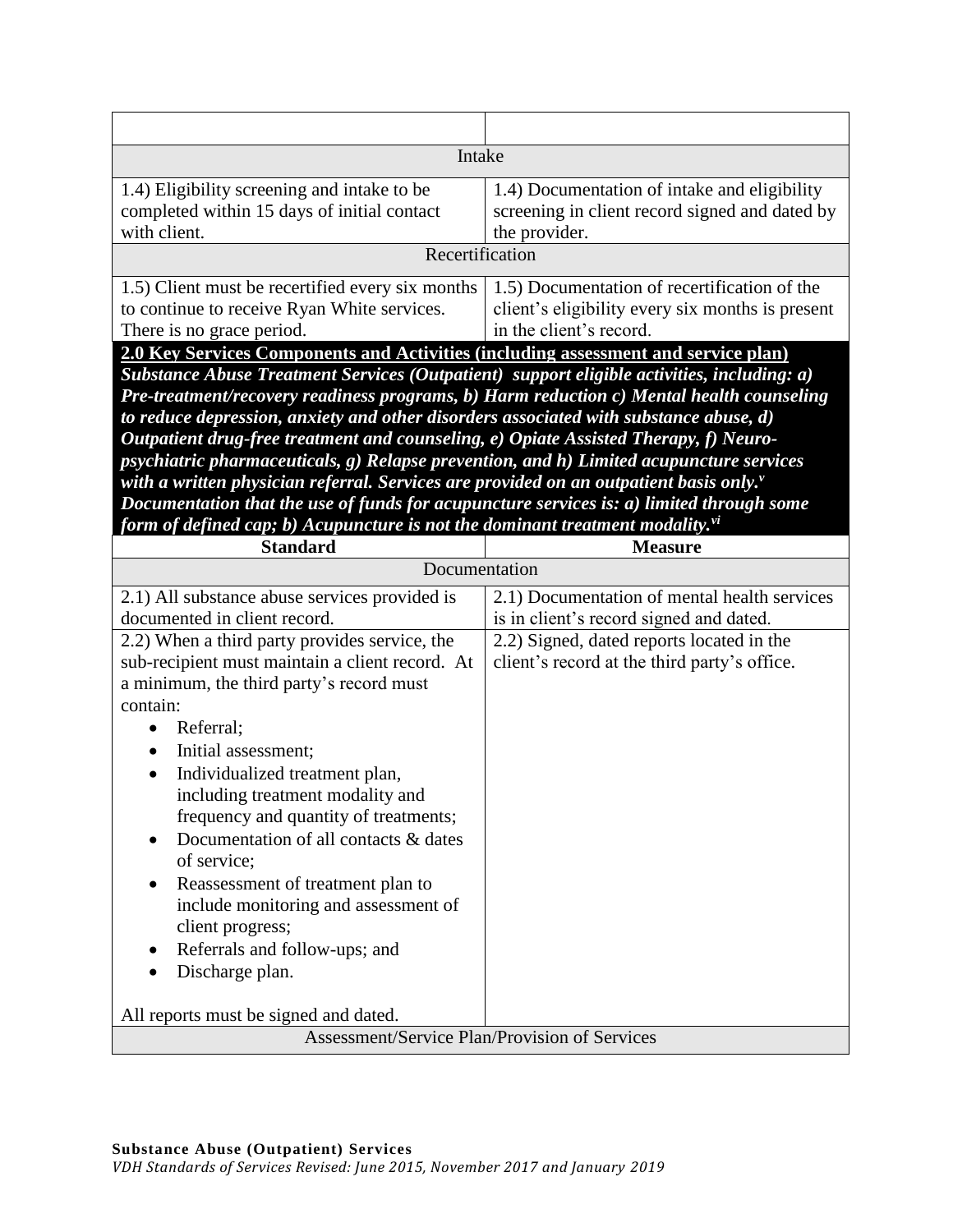| Intake<br>1.4) Eligibility screening and intake to be<br>1.4) Documentation of intake and eligibility<br>completed within 15 days of initial contact<br>screening in client record signed and dated by<br>with client.<br>the provider.<br>Recertification<br>1.5) Client must be recertified every six months<br>1.5) Documentation of recertification of the<br>client's eligibility every six months is present<br>to continue to receive Ryan White services.<br>There is no grace period.<br>in the client's record.<br>2.0 Key Services Components and Activities (including assessment and service plan)<br>Substance Abuse Treatment Services (Outpatient) support eligible activities, including: a)<br>Pre-treatment/recovery readiness programs, b) Harm reduction c) Mental health counseling<br>to reduce depression, anxiety and other disorders associated with substance abuse, d)<br>Outpatient drug-free treatment and counseling, e) Opiate Assisted Therapy, f) Neuro-<br>psychiatric pharmaceuticals, g) Relapse prevention, and h) Limited acupuncture services<br>with a written physician referral. Services are provided on an outpatient basis only."<br>Documentation that the use of funds for acupuncture services is: a) limited through some<br>form of defined cap; b) Acupuncture is not the dominant treatment modality."<br><b>Standard</b><br><b>Measure</b><br>Documentation<br>2.1) Documentation of mental health services<br>2.1) All substance abuse services provided is<br>documented in client record.<br>is in client's record signed and dated.<br>2.2) Signed, dated reports located in the<br>2.2) When a third party provides service, the<br>client's record at the third party's office.<br>sub-recipient must maintain a client record. At<br>a minimum, the third party's record must<br>contain:<br>Referral;<br>$\bullet$<br>Initial assessment;<br>$\bullet$<br>Individualized treatment plan,<br>$\bullet$<br>including treatment modality and<br>frequency and quantity of treatments;<br>Documentation of all contacts & dates<br>of service;<br>Reassessment of treatment plan to<br>include monitoring and assessment of<br>client progress;<br>Referrals and follow-ups; and<br>Discharge plan.<br>All reports must be signed and dated.<br>Assessment/Service Plan/Provision of Services |  |  |  |
|---------------------------------------------------------------------------------------------------------------------------------------------------------------------------------------------------------------------------------------------------------------------------------------------------------------------------------------------------------------------------------------------------------------------------------------------------------------------------------------------------------------------------------------------------------------------------------------------------------------------------------------------------------------------------------------------------------------------------------------------------------------------------------------------------------------------------------------------------------------------------------------------------------------------------------------------------------------------------------------------------------------------------------------------------------------------------------------------------------------------------------------------------------------------------------------------------------------------------------------------------------------------------------------------------------------------------------------------------------------------------------------------------------------------------------------------------------------------------------------------------------------------------------------------------------------------------------------------------------------------------------------------------------------------------------------------------------------------------------------------------------------------------------------------------------------------------------------------------------------------------------------------------------------------------------------------------------------------------------------------------------------------------------------------------------------------------------------------------------------------------------------------------------------------------------------------------------------------------------------------------------------------------------------------------------------------------------------------------------|--|--|--|
|                                                                                                                                                                                                                                                                                                                                                                                                                                                                                                                                                                                                                                                                                                                                                                                                                                                                                                                                                                                                                                                                                                                                                                                                                                                                                                                                                                                                                                                                                                                                                                                                                                                                                                                                                                                                                                                                                                                                                                                                                                                                                                                                                                                                                                                                                                                                                         |  |  |  |
|                                                                                                                                                                                                                                                                                                                                                                                                                                                                                                                                                                                                                                                                                                                                                                                                                                                                                                                                                                                                                                                                                                                                                                                                                                                                                                                                                                                                                                                                                                                                                                                                                                                                                                                                                                                                                                                                                                                                                                                                                                                                                                                                                                                                                                                                                                                                                         |  |  |  |
|                                                                                                                                                                                                                                                                                                                                                                                                                                                                                                                                                                                                                                                                                                                                                                                                                                                                                                                                                                                                                                                                                                                                                                                                                                                                                                                                                                                                                                                                                                                                                                                                                                                                                                                                                                                                                                                                                                                                                                                                                                                                                                                                                                                                                                                                                                                                                         |  |  |  |
|                                                                                                                                                                                                                                                                                                                                                                                                                                                                                                                                                                                                                                                                                                                                                                                                                                                                                                                                                                                                                                                                                                                                                                                                                                                                                                                                                                                                                                                                                                                                                                                                                                                                                                                                                                                                                                                                                                                                                                                                                                                                                                                                                                                                                                                                                                                                                         |  |  |  |
|                                                                                                                                                                                                                                                                                                                                                                                                                                                                                                                                                                                                                                                                                                                                                                                                                                                                                                                                                                                                                                                                                                                                                                                                                                                                                                                                                                                                                                                                                                                                                                                                                                                                                                                                                                                                                                                                                                                                                                                                                                                                                                                                                                                                                                                                                                                                                         |  |  |  |
|                                                                                                                                                                                                                                                                                                                                                                                                                                                                                                                                                                                                                                                                                                                                                                                                                                                                                                                                                                                                                                                                                                                                                                                                                                                                                                                                                                                                                                                                                                                                                                                                                                                                                                                                                                                                                                                                                                                                                                                                                                                                                                                                                                                                                                                                                                                                                         |  |  |  |
|                                                                                                                                                                                                                                                                                                                                                                                                                                                                                                                                                                                                                                                                                                                                                                                                                                                                                                                                                                                                                                                                                                                                                                                                                                                                                                                                                                                                                                                                                                                                                                                                                                                                                                                                                                                                                                                                                                                                                                                                                                                                                                                                                                                                                                                                                                                                                         |  |  |  |
|                                                                                                                                                                                                                                                                                                                                                                                                                                                                                                                                                                                                                                                                                                                                                                                                                                                                                                                                                                                                                                                                                                                                                                                                                                                                                                                                                                                                                                                                                                                                                                                                                                                                                                                                                                                                                                                                                                                                                                                                                                                                                                                                                                                                                                                                                                                                                         |  |  |  |
|                                                                                                                                                                                                                                                                                                                                                                                                                                                                                                                                                                                                                                                                                                                                                                                                                                                                                                                                                                                                                                                                                                                                                                                                                                                                                                                                                                                                                                                                                                                                                                                                                                                                                                                                                                                                                                                                                                                                                                                                                                                                                                                                                                                                                                                                                                                                                         |  |  |  |
|                                                                                                                                                                                                                                                                                                                                                                                                                                                                                                                                                                                                                                                                                                                                                                                                                                                                                                                                                                                                                                                                                                                                                                                                                                                                                                                                                                                                                                                                                                                                                                                                                                                                                                                                                                                                                                                                                                                                                                                                                                                                                                                                                                                                                                                                                                                                                         |  |  |  |
|                                                                                                                                                                                                                                                                                                                                                                                                                                                                                                                                                                                                                                                                                                                                                                                                                                                                                                                                                                                                                                                                                                                                                                                                                                                                                                                                                                                                                                                                                                                                                                                                                                                                                                                                                                                                                                                                                                                                                                                                                                                                                                                                                                                                                                                                                                                                                         |  |  |  |
|                                                                                                                                                                                                                                                                                                                                                                                                                                                                                                                                                                                                                                                                                                                                                                                                                                                                                                                                                                                                                                                                                                                                                                                                                                                                                                                                                                                                                                                                                                                                                                                                                                                                                                                                                                                                                                                                                                                                                                                                                                                                                                                                                                                                                                                                                                                                                         |  |  |  |
|                                                                                                                                                                                                                                                                                                                                                                                                                                                                                                                                                                                                                                                                                                                                                                                                                                                                                                                                                                                                                                                                                                                                                                                                                                                                                                                                                                                                                                                                                                                                                                                                                                                                                                                                                                                                                                                                                                                                                                                                                                                                                                                                                                                                                                                                                                                                                         |  |  |  |
|                                                                                                                                                                                                                                                                                                                                                                                                                                                                                                                                                                                                                                                                                                                                                                                                                                                                                                                                                                                                                                                                                                                                                                                                                                                                                                                                                                                                                                                                                                                                                                                                                                                                                                                                                                                                                                                                                                                                                                                                                                                                                                                                                                                                                                                                                                                                                         |  |  |  |
|                                                                                                                                                                                                                                                                                                                                                                                                                                                                                                                                                                                                                                                                                                                                                                                                                                                                                                                                                                                                                                                                                                                                                                                                                                                                                                                                                                                                                                                                                                                                                                                                                                                                                                                                                                                                                                                                                                                                                                                                                                                                                                                                                                                                                                                                                                                                                         |  |  |  |
|                                                                                                                                                                                                                                                                                                                                                                                                                                                                                                                                                                                                                                                                                                                                                                                                                                                                                                                                                                                                                                                                                                                                                                                                                                                                                                                                                                                                                                                                                                                                                                                                                                                                                                                                                                                                                                                                                                                                                                                                                                                                                                                                                                                                                                                                                                                                                         |  |  |  |
|                                                                                                                                                                                                                                                                                                                                                                                                                                                                                                                                                                                                                                                                                                                                                                                                                                                                                                                                                                                                                                                                                                                                                                                                                                                                                                                                                                                                                                                                                                                                                                                                                                                                                                                                                                                                                                                                                                                                                                                                                                                                                                                                                                                                                                                                                                                                                         |  |  |  |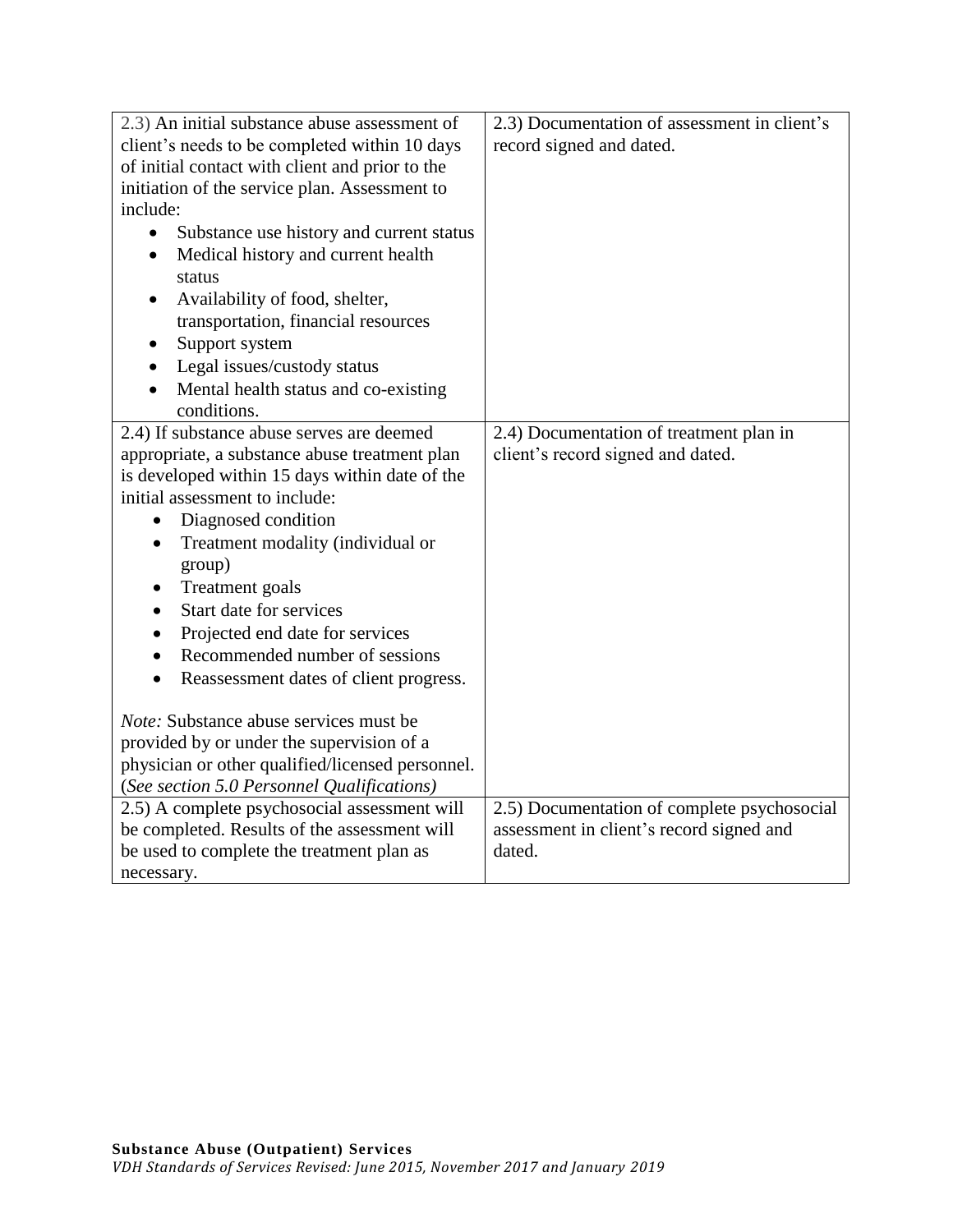| 2.3) An initial substance abuse assessment of         | 2.3) Documentation of assessment in client's |
|-------------------------------------------------------|----------------------------------------------|
| client's needs to be completed within 10 days         | record signed and dated.                     |
| of initial contact with client and prior to the       |                                              |
| initiation of the service plan. Assessment to         |                                              |
| include:                                              |                                              |
| Substance use history and current status<br>$\bullet$ |                                              |
| Medical history and current health                    |                                              |
| status                                                |                                              |
| Availability of food, shelter,                        |                                              |
| transportation, financial resources                   |                                              |
| Support system                                        |                                              |
| Legal issues/custody status                           |                                              |
| Mental health status and co-existing                  |                                              |
| conditions.                                           |                                              |
| 2.4) If substance abuse serves are deemed             | 2.4) Documentation of treatment plan in      |
| appropriate, a substance abuse treatment plan         | client's record signed and dated.            |
| is developed within 15 days within date of the        |                                              |
| initial assessment to include:                        |                                              |
| Diagnosed condition<br>$\bullet$                      |                                              |
| Treatment modality (individual or<br>$\bullet$        |                                              |
| group)                                                |                                              |
| <b>Treatment</b> goals<br>٠                           |                                              |
| Start date for services<br>$\bullet$                  |                                              |
| Projected end date for services                       |                                              |
| Recommended number of sessions<br>$\bullet$           |                                              |
| Reassessment dates of client progress.<br>$\bullet$   |                                              |
|                                                       |                                              |
| <i>Note:</i> Substance abuse services must be         |                                              |
| provided by or under the supervision of a             |                                              |
| physician or other qualified/licensed personnel.      |                                              |
| (See section 5.0 Personnel Qualifications)            |                                              |
| 2.5) A complete psychosocial assessment will          | 2.5) Documentation of complete psychosocial  |
| be completed. Results of the assessment will          | assessment in client's record signed and     |
| be used to complete the treatment plan as             | dated.                                       |
| necessary.                                            |                                              |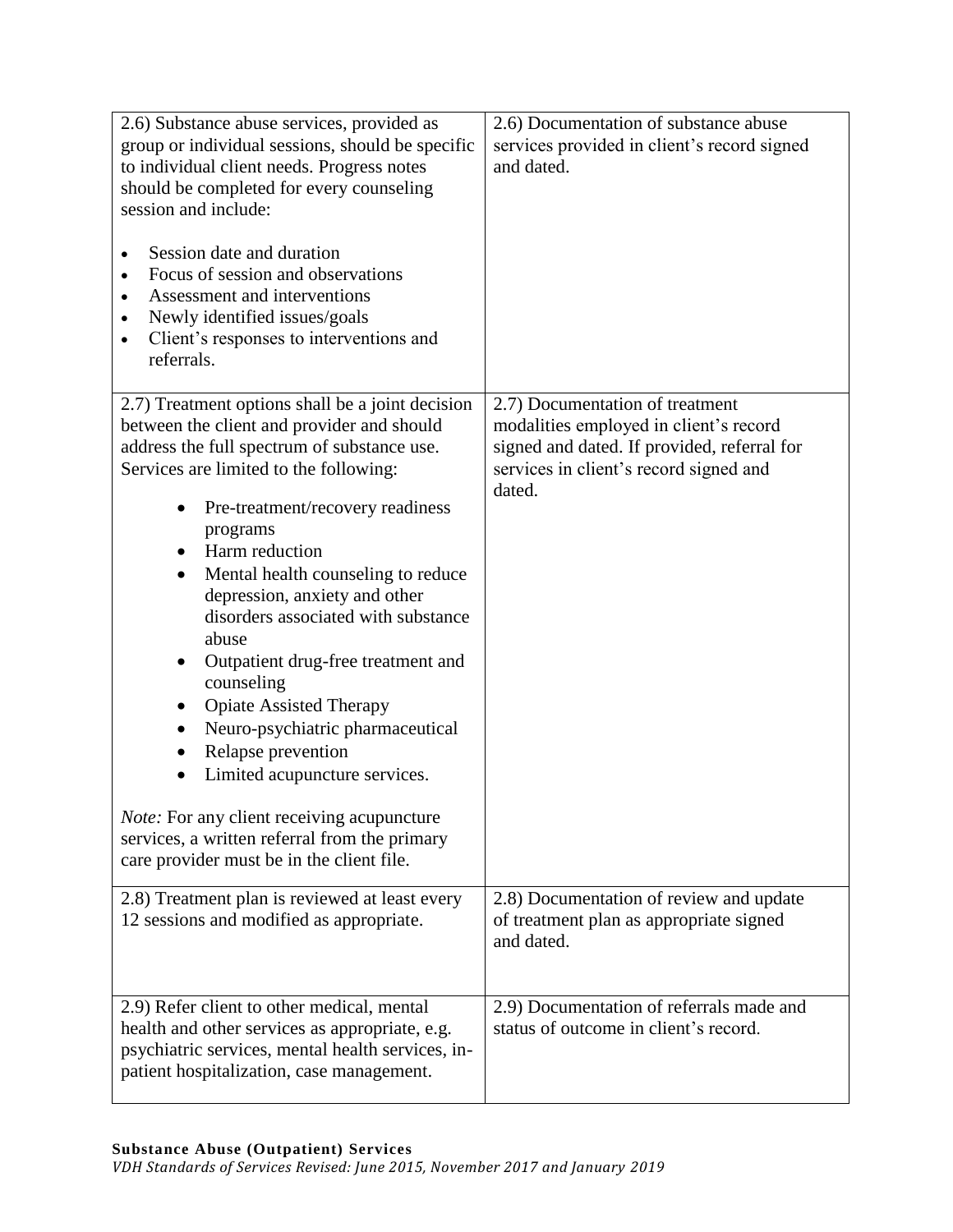| 2.6) Substance abuse services, provided as<br>group or individual sessions, should be specific<br>to individual client needs. Progress notes<br>should be completed for every counseling<br>session and include:<br>Session date and duration<br>$\bullet$<br>Focus of session and observations<br>Assessment and interventions<br>$\bullet$<br>Newly identified issues/goals<br>٠<br>Client's responses to interventions and<br>$\bullet$<br>referrals.                                                                                                                                                                                                                                                                                                                 | 2.6) Documentation of substance abuse<br>services provided in client's record signed<br>and dated.                                                                           |
|--------------------------------------------------------------------------------------------------------------------------------------------------------------------------------------------------------------------------------------------------------------------------------------------------------------------------------------------------------------------------------------------------------------------------------------------------------------------------------------------------------------------------------------------------------------------------------------------------------------------------------------------------------------------------------------------------------------------------------------------------------------------------|------------------------------------------------------------------------------------------------------------------------------------------------------------------------------|
| 2.7) Treatment options shall be a joint decision<br>between the client and provider and should<br>address the full spectrum of substance use.<br>Services are limited to the following:<br>Pre-treatment/recovery readiness<br>programs<br>Harm reduction<br>Mental health counseling to reduce<br>$\bullet$<br>depression, anxiety and other<br>disorders associated with substance<br>abuse<br>Outpatient drug-free treatment and<br>counseling<br><b>Opiate Assisted Therapy</b><br>Neuro-psychiatric pharmaceutical<br>$\bullet$<br>Relapse prevention<br>$\bullet$<br>Limited acupuncture services.<br>$\bullet$<br><i>Note:</i> For any client receiving acupuncture<br>services, a written referral from the primary<br>care provider must be in the client file. | 2.7) Documentation of treatment<br>modalities employed in client's record<br>signed and dated. If provided, referral for<br>services in client's record signed and<br>dated. |
| 2.8) Treatment plan is reviewed at least every<br>12 sessions and modified as appropriate.                                                                                                                                                                                                                                                                                                                                                                                                                                                                                                                                                                                                                                                                               | 2.8) Documentation of review and update<br>of treatment plan as appropriate signed<br>and dated.                                                                             |
| 2.9) Refer client to other medical, mental<br>health and other services as appropriate, e.g.<br>psychiatric services, mental health services, in-<br>patient hospitalization, case management.                                                                                                                                                                                                                                                                                                                                                                                                                                                                                                                                                                           | 2.9) Documentation of referrals made and<br>status of outcome in client's record.                                                                                            |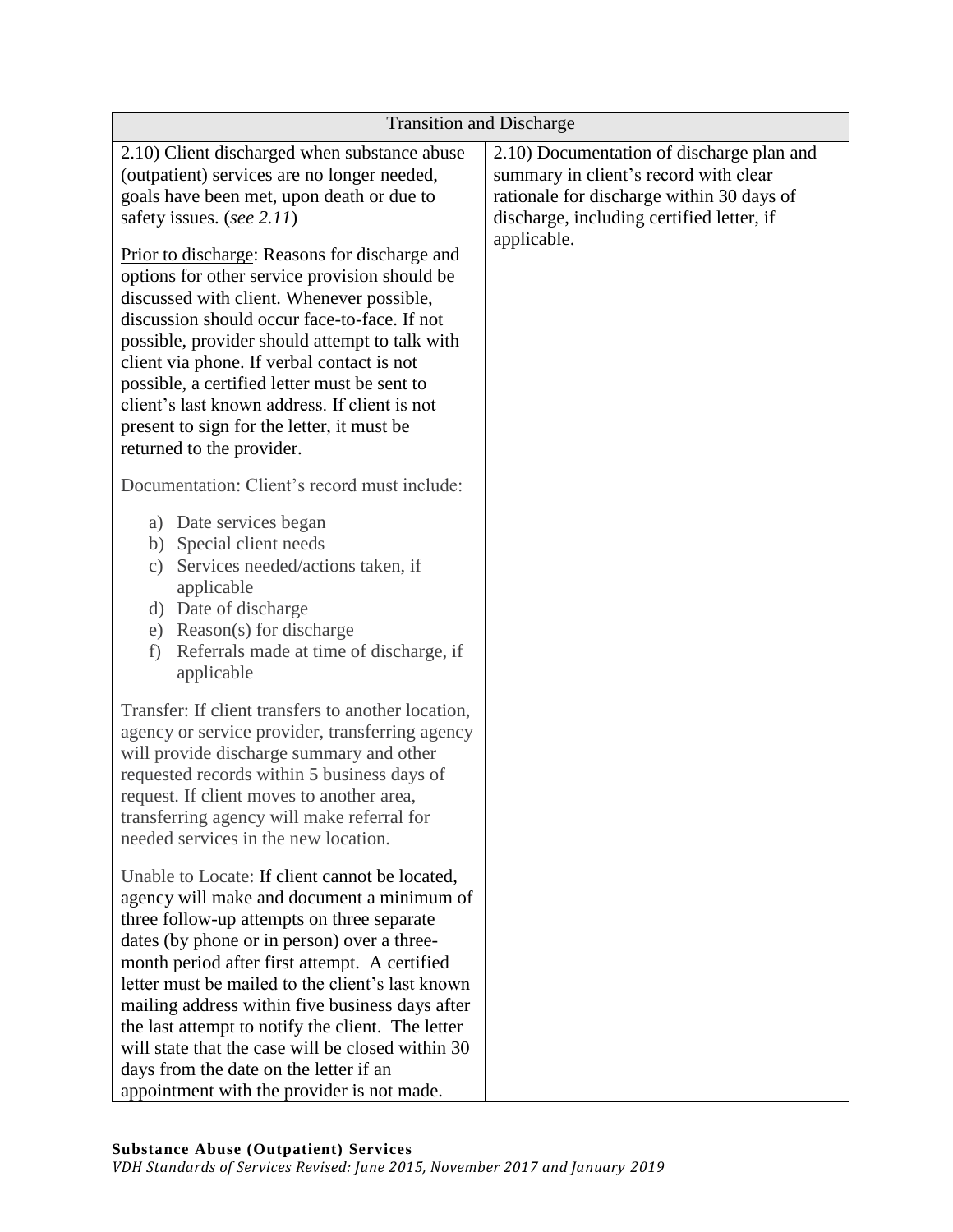| <b>Transition and Discharge</b>                                                                                                                                                                                                                                                                                                                                                                                                                                                                                                                                                                                                                  |                                                                                                                                                                                             |  |
|--------------------------------------------------------------------------------------------------------------------------------------------------------------------------------------------------------------------------------------------------------------------------------------------------------------------------------------------------------------------------------------------------------------------------------------------------------------------------------------------------------------------------------------------------------------------------------------------------------------------------------------------------|---------------------------------------------------------------------------------------------------------------------------------------------------------------------------------------------|--|
| 2.10) Client discharged when substance abuse<br>(outpatient) services are no longer needed,<br>goals have been met, upon death or due to<br>safety issues. (see 2.11)<br>Prior to discharge: Reasons for discharge and<br>options for other service provision should be<br>discussed with client. Whenever possible,<br>discussion should occur face-to-face. If not<br>possible, provider should attempt to talk with<br>client via phone. If verbal contact is not<br>possible, a certified letter must be sent to<br>client's last known address. If client is not<br>present to sign for the letter, it must be<br>returned to the provider. | 2.10) Documentation of discharge plan and<br>summary in client's record with clear<br>rationale for discharge within 30 days of<br>discharge, including certified letter, if<br>applicable. |  |
| Documentation: Client's record must include:                                                                                                                                                                                                                                                                                                                                                                                                                                                                                                                                                                                                     |                                                                                                                                                                                             |  |
| a) Date services began<br>b) Special client needs<br>Services needed/actions taken, if<br>$\mathcal{C}$ )<br>applicable<br>d) Date of discharge<br>e) Reason(s) for discharge<br>Referrals made at time of discharge, if<br>f)<br>applicable                                                                                                                                                                                                                                                                                                                                                                                                     |                                                                                                                                                                                             |  |
| Transfer: If client transfers to another location,<br>agency or service provider, transferring agency<br>will provide discharge summary and other<br>requested records within 5 business days of<br>request. If client moves to another area,<br>transferring agency will make referral for<br>needed services in the new location.                                                                                                                                                                                                                                                                                                              |                                                                                                                                                                                             |  |
| Unable to Locate: If client cannot be located,<br>agency will make and document a minimum of<br>three follow-up attempts on three separate<br>dates (by phone or in person) over a three-<br>month period after first attempt. A certified<br>letter must be mailed to the client's last known<br>mailing address within five business days after<br>the last attempt to notify the client. The letter<br>will state that the case will be closed within 30<br>days from the date on the letter if an<br>appointment with the provider is not made.                                                                                              |                                                                                                                                                                                             |  |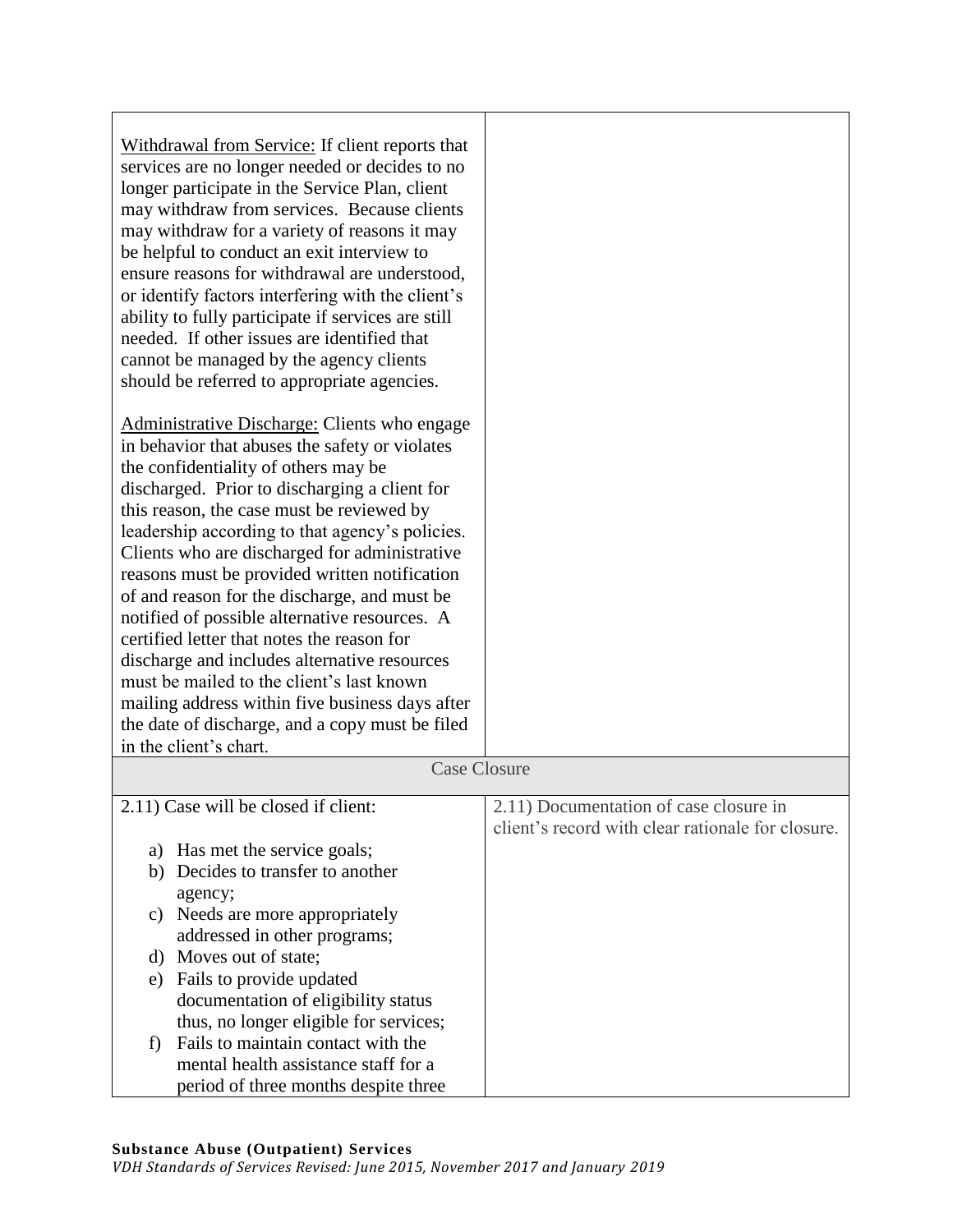| Withdrawal from Service: If client reports that<br>services are no longer needed or decides to no<br>longer participate in the Service Plan, client<br>may withdraw from services. Because clients<br>may withdraw for a variety of reasons it may<br>be helpful to conduct an exit interview to<br>ensure reasons for withdrawal are understood,<br>or identify factors interfering with the client's<br>ability to fully participate if services are still<br>needed. If other issues are identified that<br>cannot be managed by the agency clients<br>should be referred to appropriate agencies.                                                                                    |                                                                                             |
|------------------------------------------------------------------------------------------------------------------------------------------------------------------------------------------------------------------------------------------------------------------------------------------------------------------------------------------------------------------------------------------------------------------------------------------------------------------------------------------------------------------------------------------------------------------------------------------------------------------------------------------------------------------------------------------|---------------------------------------------------------------------------------------------|
| Administrative Discharge: Clients who engage<br>in behavior that abuses the safety or violates<br>the confidentiality of others may be<br>discharged. Prior to discharging a client for<br>this reason, the case must be reviewed by<br>leadership according to that agency's policies.<br>Clients who are discharged for administrative<br>reasons must be provided written notification<br>of and reason for the discharge, and must be<br>notified of possible alternative resources. A<br>certified letter that notes the reason for<br>discharge and includes alternative resources<br>must be mailed to the client's last known<br>mailing address within five business days after |                                                                                             |
| the date of discharge, and a copy must be filed<br>in the client's chart.                                                                                                                                                                                                                                                                                                                                                                                                                                                                                                                                                                                                                |                                                                                             |
| <b>Case Closure</b>                                                                                                                                                                                                                                                                                                                                                                                                                                                                                                                                                                                                                                                                      |                                                                                             |
| 2.11) Case will be closed if client:                                                                                                                                                                                                                                                                                                                                                                                                                                                                                                                                                                                                                                                     | 2.11) Documentation of case closure in<br>client's record with clear rationale for closure. |
| Has met the service goals;<br>a)<br>Decides to transfer to another<br>b)<br>agency;                                                                                                                                                                                                                                                                                                                                                                                                                                                                                                                                                                                                      |                                                                                             |
| c) Needs are more appropriately<br>addressed in other programs;<br>d) Moves out of state;                                                                                                                                                                                                                                                                                                                                                                                                                                                                                                                                                                                                |                                                                                             |
| Fails to provide updated<br>e)<br>documentation of eligibility status<br>thus, no longer eligible for services;                                                                                                                                                                                                                                                                                                                                                                                                                                                                                                                                                                          |                                                                                             |
| Fails to maintain contact with the<br>f<br>mental health assistance staff for a<br>period of three months despite three                                                                                                                                                                                                                                                                                                                                                                                                                                                                                                                                                                  |                                                                                             |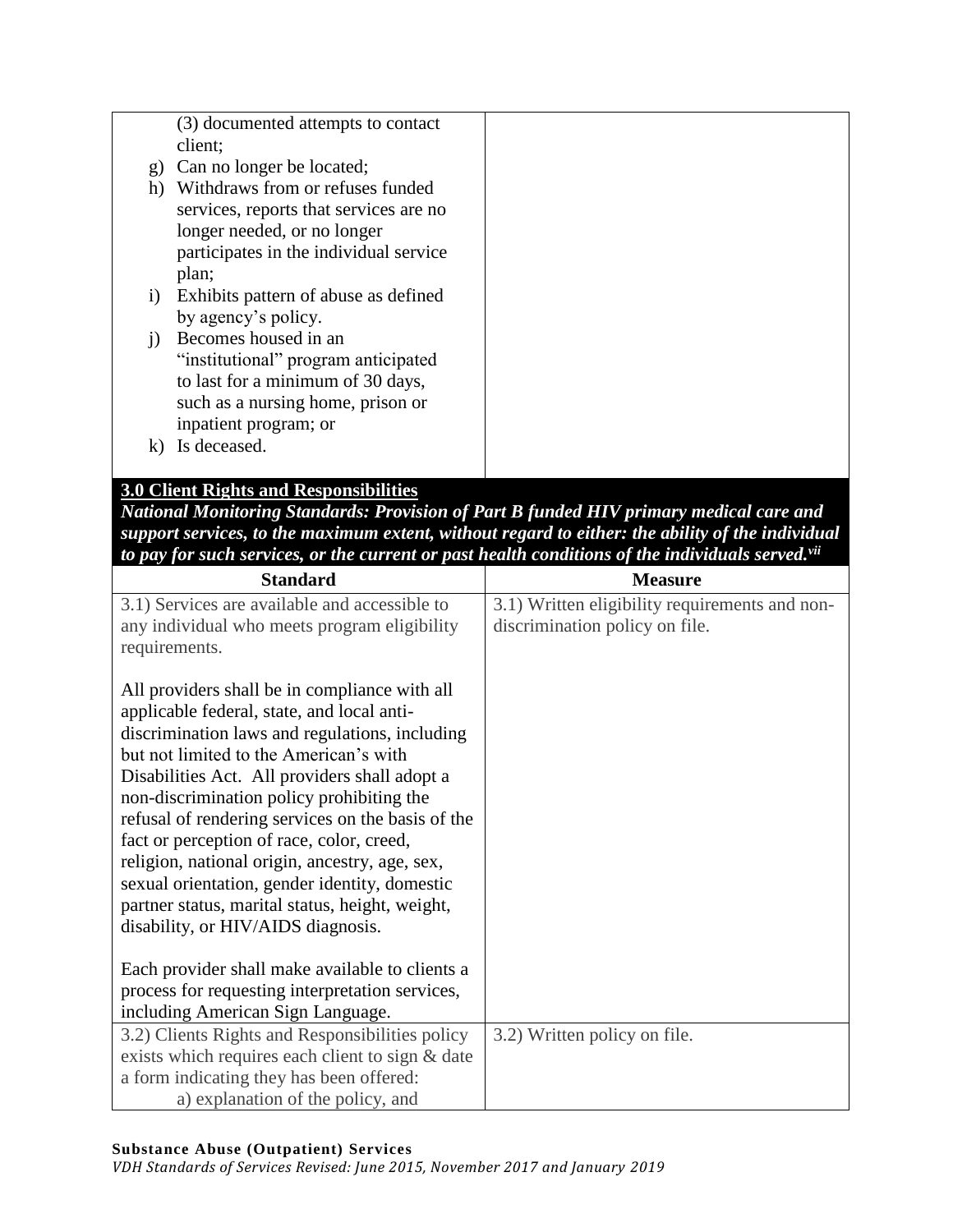|              | (3) documented attempts to contact     |  |
|--------------|----------------------------------------|--|
|              | client;                                |  |
| $\mathbf{g}$ | Can no longer be located;              |  |
| h)           | Withdraws from or refuses funded       |  |
|              | services, reports that services are no |  |
|              | longer needed, or no longer            |  |
|              | participates in the individual service |  |
|              | plan;                                  |  |
| $\ddot{1}$   | Exhibits pattern of abuse as defined   |  |
|              | by agency's policy.                    |  |
| 1)           | Becomes housed in an                   |  |
|              | "institutional" program anticipated    |  |
|              | to last for a minimum of 30 days,      |  |
|              | such as a nursing home, prison or      |  |
|              | inpatient program; or                  |  |
|              |                                        |  |
| $\bf k$      | Is deceased.                           |  |
|              |                                        |  |

# **3.0 Client Rights and Responsibilities**

*National Monitoring Standards: Provision of Part B funded HIV primary medical care and support services, to the maximum extent, without regard to either: the ability of the individual to pay for such services, or the current or past health conditions of the individuals served.vii*

| <b>Measure</b>                                                                   |
|----------------------------------------------------------------------------------|
| 3.1) Written eligibility requirements and non-<br>discrimination policy on file. |
|                                                                                  |
|                                                                                  |
|                                                                                  |
| 3.2) Written policy on file.                                                     |
|                                                                                  |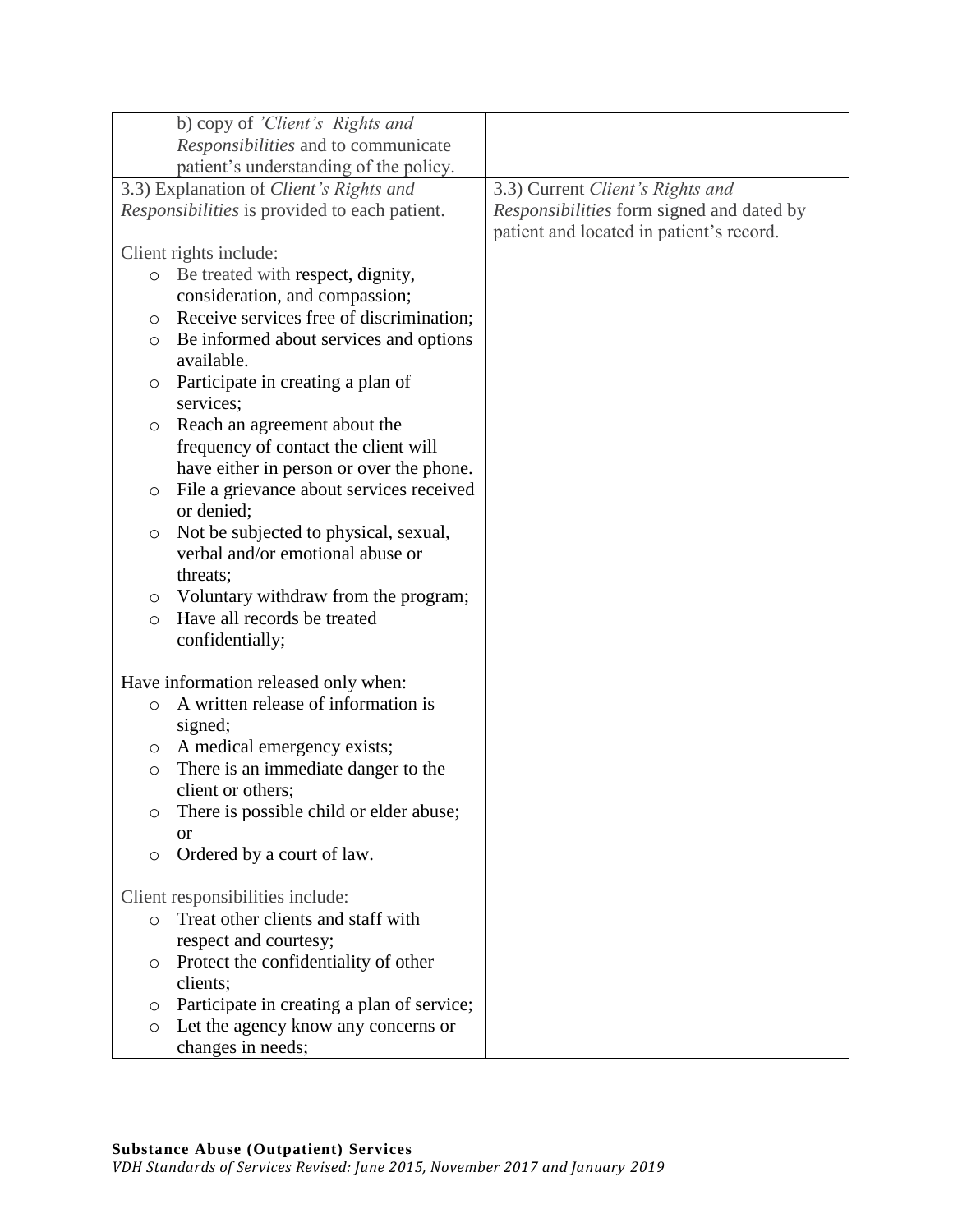| b) copy of 'Client's Rights and                     |                                           |
|-----------------------------------------------------|-------------------------------------------|
| Responsibilities and to communicate                 |                                           |
| patient's understanding of the policy.              |                                           |
| 3.3) Explanation of Client's Rights and             | 3.3) Current Client's Rights and          |
| Responsibilities is provided to each patient.       | Responsibilities form signed and dated by |
|                                                     | patient and located in patient's record.  |
| Client rights include:                              |                                           |
| Be treated with respect, dignity,<br>$\circ$        |                                           |
| consideration, and compassion;                      |                                           |
| Receive services free of discrimination;<br>$\circ$ |                                           |
| Be informed about services and options<br>$\circ$   |                                           |
| available.                                          |                                           |
| Participate in creating a plan of<br>$\circ$        |                                           |
| services;                                           |                                           |
| Reach an agreement about the<br>$\circ$             |                                           |
| frequency of contact the client will                |                                           |
| have either in person or over the phone.            |                                           |
| File a grievance about services received<br>$\circ$ |                                           |
| or denied;                                          |                                           |
| Not be subjected to physical, sexual,<br>$\circ$    |                                           |
| verbal and/or emotional abuse or                    |                                           |
| threats;                                            |                                           |
| Voluntary withdraw from the program;<br>$\circ$     |                                           |
| Have all records be treated<br>$\circ$              |                                           |
| confidentially;                                     |                                           |
|                                                     |                                           |
| Have information released only when:                |                                           |
| A written release of information is<br>$\circ$      |                                           |
| signed;                                             |                                           |
| A medical emergency exists;<br>$\circ$              |                                           |
| There is an immediate danger to the<br>$\circ$      |                                           |
| client or others;                                   |                                           |
| There is possible child or elder abuse;<br>O        |                                           |
| <b>or</b>                                           |                                           |
| Ordered by a court of law.<br>$\circ$               |                                           |
|                                                     |                                           |
| Client responsibilities include:                    |                                           |
| Treat other clients and staff with<br>$\circ$       |                                           |
| respect and courtesy;                               |                                           |
| Protect the confidentiality of other<br>O           |                                           |
| clients;                                            |                                           |
| Participate in creating a plan of service;<br>O     |                                           |
| Let the agency know any concerns or<br>$\circ$      |                                           |
| changes in needs;                                   |                                           |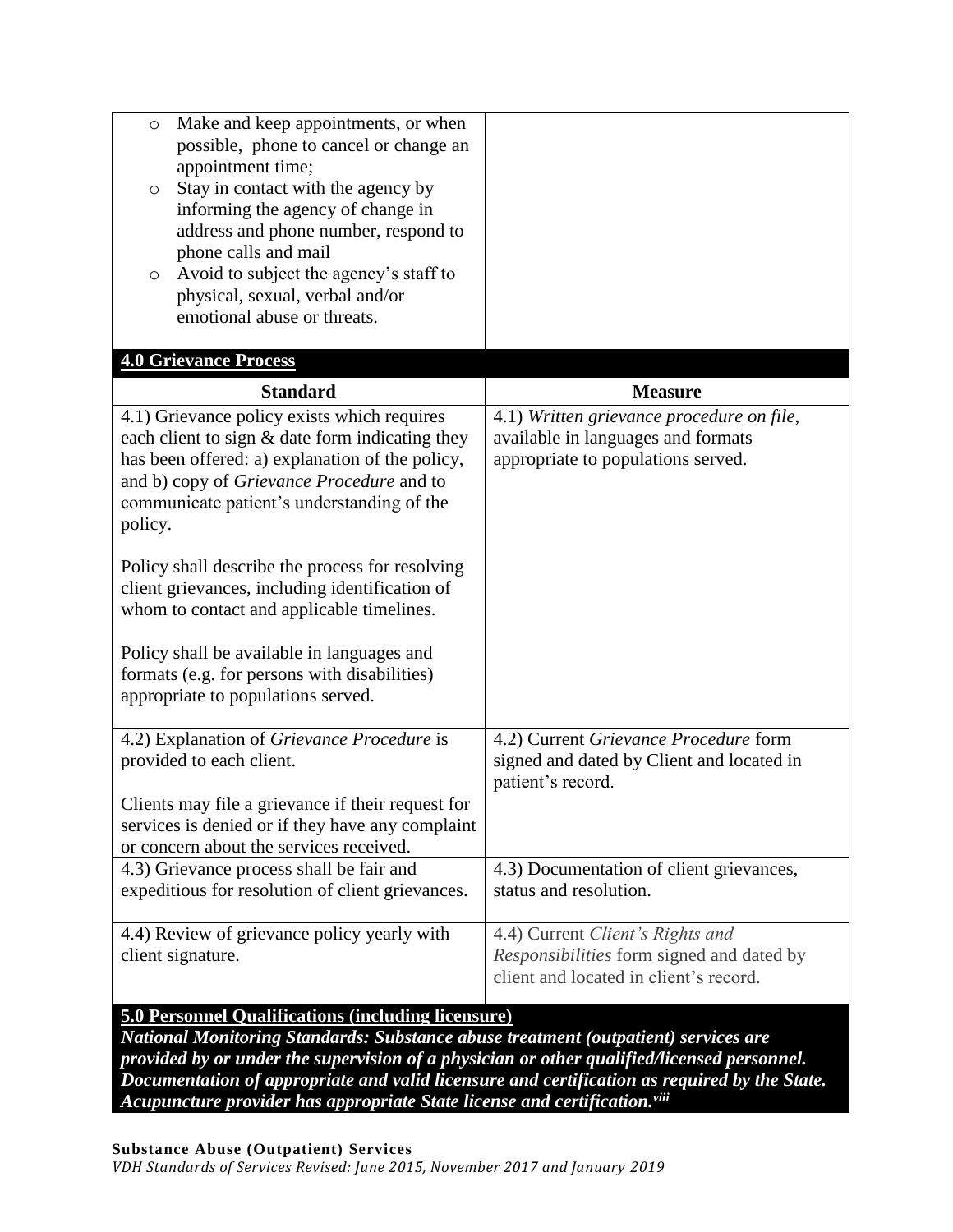| Make and keep appointments, or when<br>$\circ$<br>possible, phone to cancel or change an<br>appointment time;<br>Stay in contact with the agency by<br>O<br>informing the agency of change in<br>address and phone number, respond to<br>phone calls and mail<br>Avoid to subject the agency's staff to<br>O<br>physical, sexual, verbal and/or |                                                                                                                                |
|-------------------------------------------------------------------------------------------------------------------------------------------------------------------------------------------------------------------------------------------------------------------------------------------------------------------------------------------------|--------------------------------------------------------------------------------------------------------------------------------|
| emotional abuse or threats.                                                                                                                                                                                                                                                                                                                     |                                                                                                                                |
| <b>4.0 Grievance Process</b>                                                                                                                                                                                                                                                                                                                    |                                                                                                                                |
| <b>Standard</b>                                                                                                                                                                                                                                                                                                                                 | <b>Measure</b>                                                                                                                 |
| 4.1) Grievance policy exists which requires<br>each client to sign $&$ date form indicating they<br>has been offered: a) explanation of the policy,<br>and b) copy of <i>Grievance Procedure</i> and to<br>communicate patient's understanding of the<br>policy.                                                                                | 4.1) Written grievance procedure on file,<br>available in languages and formats<br>appropriate to populations served.          |
| Policy shall describe the process for resolving<br>client grievances, including identification of<br>whom to contact and applicable timelines.<br>Policy shall be available in languages and<br>formats (e.g. for persons with disabilities)<br>appropriate to populations served.                                                              |                                                                                                                                |
| 4.2) Explanation of Grievance Procedure is<br>provided to each client.<br>Clients may file a grievance if their request for<br>services is denied or if they have any complaint<br>or concern about the services received.                                                                                                                      | 4.2) Current Grievance Procedure form<br>signed and dated by Client and located in<br>patient's record.                        |
| 4.3) Grievance process shall be fair and<br>expeditious for resolution of client grievances.                                                                                                                                                                                                                                                    | 4.3) Documentation of client grievances,<br>status and resolution.                                                             |
| 4.4) Review of grievance policy yearly with<br>client signature.                                                                                                                                                                                                                                                                                | 4.4) Current Client's Rights and<br><i>Responsibilities</i> form signed and dated by<br>client and located in client's record. |
| <b>5.0 Personnel Qualifications (including licensure)</b>                                                                                                                                                                                                                                                                                       |                                                                                                                                |

*National Monitoring Standards: Substance abuse treatment (outpatient) services are provided by or under the supervision of a physician or other qualified/licensed personnel. Documentation of appropriate and valid licensure and certification as required by the State. Acupuncture provider has appropriate State license and certification.viii*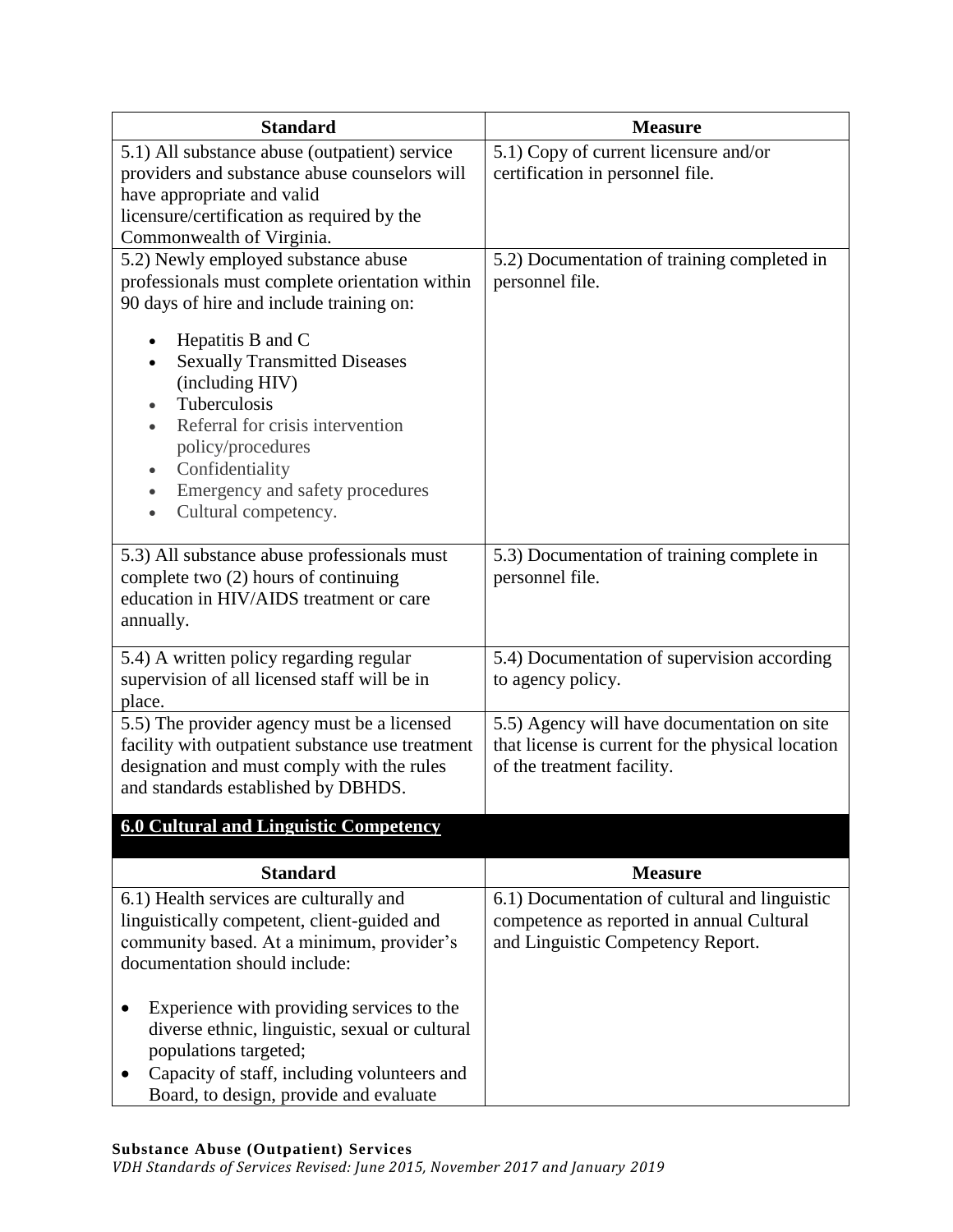| <b>Standard</b>                                                                                                                                                                                                                                                                         | <b>Measure</b>                                                   |
|-----------------------------------------------------------------------------------------------------------------------------------------------------------------------------------------------------------------------------------------------------------------------------------------|------------------------------------------------------------------|
| 5.1) All substance abuse (outpatient) service                                                                                                                                                                                                                                           | 5.1) Copy of current licensure and/or                            |
| providers and substance abuse counselors will                                                                                                                                                                                                                                           | certification in personnel file.                                 |
| have appropriate and valid                                                                                                                                                                                                                                                              |                                                                  |
| licensure/certification as required by the<br>Commonwealth of Virginia.                                                                                                                                                                                                                 |                                                                  |
| 5.2) Newly employed substance abuse                                                                                                                                                                                                                                                     | 5.2) Documentation of training completed in                      |
| professionals must complete orientation within<br>90 days of hire and include training on:                                                                                                                                                                                              | personnel file.                                                  |
| Hepatitis B and C<br>$\bullet$<br><b>Sexually Transmitted Diseases</b><br>(including HIV)<br>Tuberculosis<br>Referral for crisis intervention<br>policy/procedures<br>Confidentiality<br>$\bullet$<br>Emergency and safety procedures<br>$\bullet$<br>Cultural competency.<br>$\bullet$ |                                                                  |
| 5.3) All substance abuse professionals must<br>complete two (2) hours of continuing<br>education in HIV/AIDS treatment or care<br>annually.                                                                                                                                             | 5.3) Documentation of training complete in<br>personnel file.    |
| 5.4) A written policy regarding regular<br>supervision of all licensed staff will be in<br>place.                                                                                                                                                                                       | 5.4) Documentation of supervision according<br>to agency policy. |
| 5.5) The provider agency must be a licensed                                                                                                                                                                                                                                             | 5.5) Agency will have documentation on site                      |
| facility with outpatient substance use treatment                                                                                                                                                                                                                                        | that license is current for the physical location                |
| designation and must comply with the rules<br>and standards established by DBHDS.                                                                                                                                                                                                       | of the treatment facility.                                       |
| <b>6.0 Cultural and Linguistic Competency</b>                                                                                                                                                                                                                                           |                                                                  |
|                                                                                                                                                                                                                                                                                         |                                                                  |
| <b>Standard</b>                                                                                                                                                                                                                                                                         | <b>Measure</b>                                                   |
| 6.1) Health services are culturally and                                                                                                                                                                                                                                                 | 6.1) Documentation of cultural and linguistic                    |
| linguistically competent, client-guided and                                                                                                                                                                                                                                             | competence as reported in annual Cultural                        |
| community based. At a minimum, provider's<br>documentation should include:                                                                                                                                                                                                              | and Linguistic Competency Report.                                |
|                                                                                                                                                                                                                                                                                         |                                                                  |
| Experience with providing services to the<br>diverse ethnic, linguistic, sexual or cultural<br>populations targeted;<br>Capacity of staff, including volunteers and                                                                                                                     |                                                                  |
| Board, to design, provide and evaluate                                                                                                                                                                                                                                                  |                                                                  |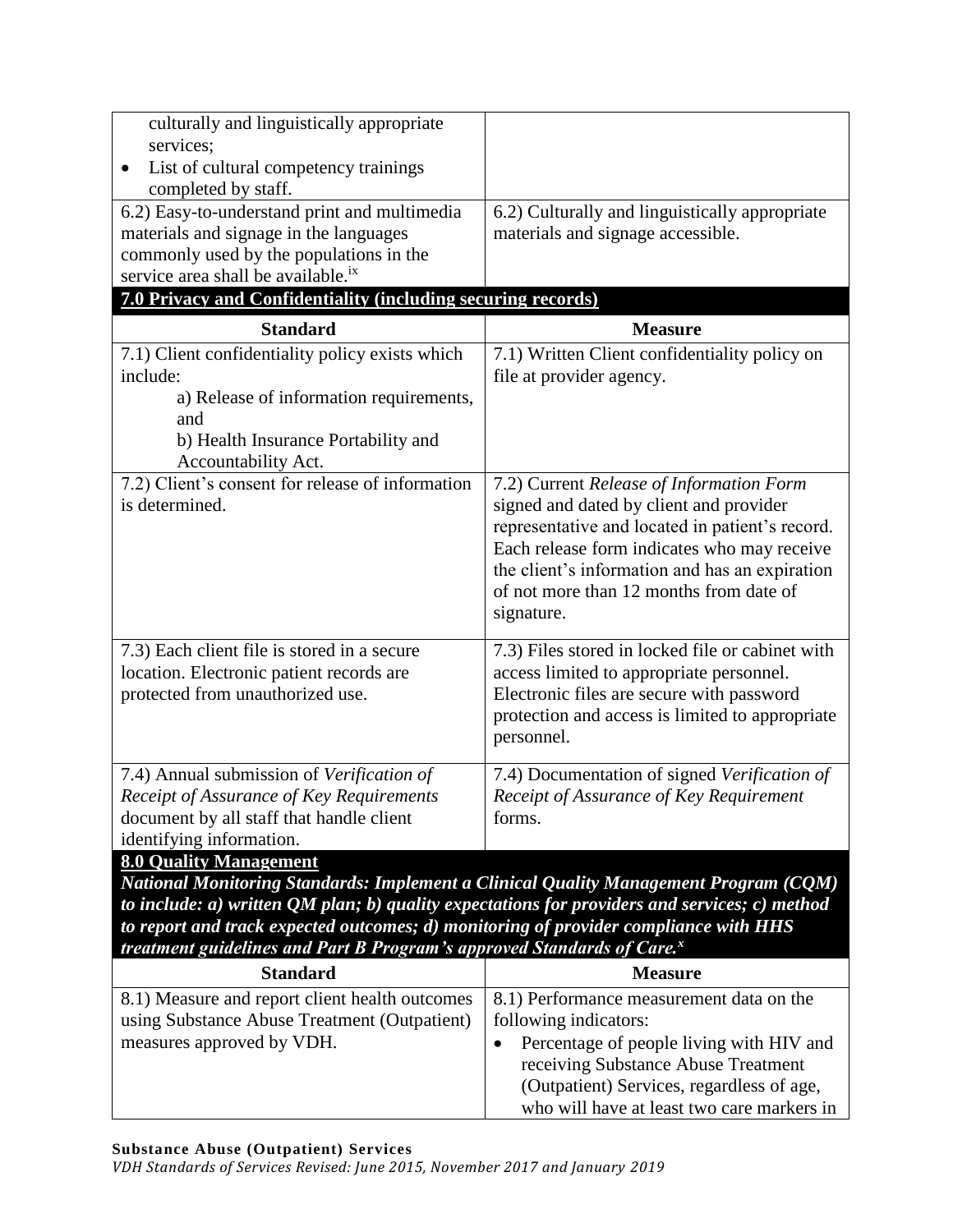| culturally and linguistically appropriate<br>services;<br>List of cultural competency trainings<br>completed by staff.                                                                                                                                                                                                                                                                                        |                                                                                                                                                                                                                                                                                                  |
|---------------------------------------------------------------------------------------------------------------------------------------------------------------------------------------------------------------------------------------------------------------------------------------------------------------------------------------------------------------------------------------------------------------|--------------------------------------------------------------------------------------------------------------------------------------------------------------------------------------------------------------------------------------------------------------------------------------------------|
| 6.2) Easy-to-understand print and multimedia<br>materials and signage in the languages<br>commonly used by the populations in the<br>service area shall be available. <sup>ix</sup>                                                                                                                                                                                                                           | 6.2) Culturally and linguistically appropriate<br>materials and signage accessible.                                                                                                                                                                                                              |
| 7.0 Privacy and Confidentiality (including securing records)                                                                                                                                                                                                                                                                                                                                                  |                                                                                                                                                                                                                                                                                                  |
| <b>Standard</b>                                                                                                                                                                                                                                                                                                                                                                                               | <b>Measure</b>                                                                                                                                                                                                                                                                                   |
| 7.1) Client confidentiality policy exists which<br>include:<br>a) Release of information requirements,<br>and<br>b) Health Insurance Portability and<br>Accountability Act.                                                                                                                                                                                                                                   | 7.1) Written Client confidentiality policy on<br>file at provider agency.                                                                                                                                                                                                                        |
| 7.2) Client's consent for release of information<br>is determined.                                                                                                                                                                                                                                                                                                                                            | 7.2) Current Release of Information Form<br>signed and dated by client and provider<br>representative and located in patient's record.<br>Each release form indicates who may receive<br>the client's information and has an expiration<br>of not more than 12 months from date of<br>signature. |
| 7.3) Each client file is stored in a secure<br>location. Electronic patient records are<br>protected from unauthorized use.                                                                                                                                                                                                                                                                                   | 7.3) Files stored in locked file or cabinet with<br>access limited to appropriate personnel.<br>Electronic files are secure with password<br>protection and access is limited to appropriate<br>personnel.                                                                                       |
| 7.4) Annual submission of Verification of<br>Receipt of Assurance of Key Requirements<br>document by all staff that handle client<br>identifying information.                                                                                                                                                                                                                                                 | 7.4) Documentation of signed Verification of<br>Receipt of Assurance of Key Requirement<br>forms.                                                                                                                                                                                                |
| <b>8.0 Quality Management</b><br>National Monitoring Standards: Implement a Clinical Quality Management Program (CQM)<br>to include: $a$ ) written QM plan; $b$ ) quality expectations for providers and services; $c$ ) method<br>to report and track expected outcomes; d) monitoring of provider compliance with HHS<br>treatment guidelines and Part B Program's approved Standards of Care. <sup>x</sup> |                                                                                                                                                                                                                                                                                                  |

| <b>Standard</b>                                | <b>Measure</b>                             |
|------------------------------------------------|--------------------------------------------|
| 8.1) Measure and report client health outcomes | 8.1) Performance measurement data on the   |
| using Substance Abuse Treatment (Outpatient)   | following indicators:                      |
| measures approved by VDH.                      | Percentage of people living with HIV and   |
|                                                | receiving Substance Abuse Treatment        |
|                                                | (Outpatient) Services, regardless of age,  |
|                                                | who will have at least two care markers in |

*VDH Standards of Services Revised: June 2015, November 2017 and January 2019*